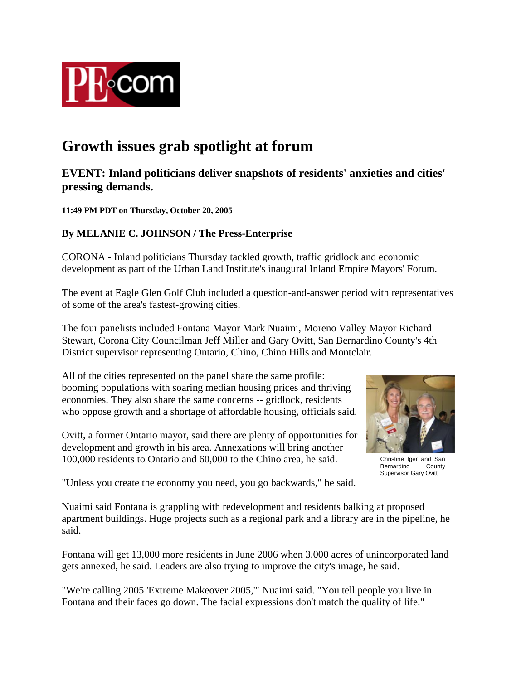

## **Growth issues grab spotlight at forum**

## **EVENT: Inland politicians deliver snapshots of residents' anxieties and cities' pressing demands.**

**11:49 PM PDT on Thursday, October 20, 2005** 

## **By MELANIE C. JOHNSON / The Press-Enterprise**

CORONA - Inland politicians Thursday tackled growth, traffic gridlock and economic development as part of the Urban Land Institute's inaugural Inland Empire Mayors' Forum.

The event at Eagle Glen Golf Club included a question-and-answer period with representatives of some of the area's fastest-growing cities.

The four panelists included Fontana Mayor Mark Nuaimi, Moreno Valley Mayor Richard Stewart, Corona City Councilman Jeff Miller and Gary Ovitt, San Bernardino County's 4th District supervisor representing Ontario, Chino, Chino Hills and Montclair.

All of the cities represented on the panel share the same profile: booming populations with soaring median housing prices and thriving economies. They also share the same concerns -- gridlock, residents who oppose growth and a shortage of affordable housing, officials said.

Ovitt, a former Ontario mayor, said there are plenty of opportunities for development and growth in his area. Annexations will bring another 100,000 residents to Ontario and 60,000 to the Chino area, he said.



Christine Iger and San<br>Bernardino County Bernardino<sup>1</sup> Supervisor Gary Ovitt

"Unless you create the economy you need, you go backwards," he said.

Nuaimi said Fontana is grappling with redevelopment and residents balking at proposed apartment buildings. Huge projects such as a regional park and a library are in the pipeline, he said.

Fontana will get 13,000 more residents in June 2006 when 3,000 acres of unincorporated land gets annexed, he said. Leaders are also trying to improve the city's image, he said.

"We're calling 2005 'Extreme Makeover 2005,'" Nuaimi said. "You tell people you live in Fontana and their faces go down. The facial expressions don't match the quality of life."